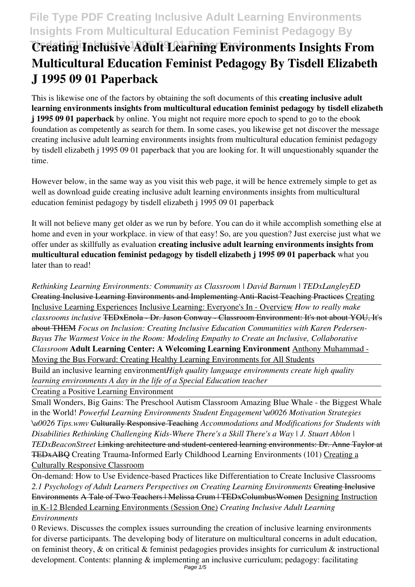# **File Type PDF Creating Inclusive Adult Learning Environments Insights From Multicultural Education Feminist Pedagogy By**

# **The Tis-Better Inclusive Adult Learning Environments Insights From Multicultural Education Feminist Pedagogy By Tisdell Elizabeth J 1995 09 01 Paperback**

This is likewise one of the factors by obtaining the soft documents of this **creating inclusive adult learning environments insights from multicultural education feminist pedagogy by tisdell elizabeth j 1995 09 01 paperback** by online. You might not require more epoch to spend to go to the ebook foundation as competently as search for them. In some cases, you likewise get not discover the message creating inclusive adult learning environments insights from multicultural education feminist pedagogy by tisdell elizabeth j 1995 09 01 paperback that you are looking for. It will unquestionably squander the time.

However below, in the same way as you visit this web page, it will be hence extremely simple to get as well as download guide creating inclusive adult learning environments insights from multicultural education feminist pedagogy by tisdell elizabeth j 1995 09 01 paperback

It will not believe many get older as we run by before. You can do it while accomplish something else at home and even in your workplace. in view of that easy! So, are you question? Just exercise just what we offer under as skillfully as evaluation **creating inclusive adult learning environments insights from multicultural education feminist pedagogy by tisdell elizabeth j 1995 09 01 paperback** what you later than to read!

*Rethinking Learning Environments: Community as Classroom | David Barnum | TEDxLangleyED* Creating Inclusive Learning Environments and Implementing Anti-Racist Teaching Practices Creating Inclusive Learning Experiences Inclusive Learning: Everyone's In - Overview *How to really make classrooms inclusive* TEDxEnola - Dr. Jason Conway - Classroom Environment: It's not about YOU, It's about THEM *Focus on Inclusion: Creating Inclusive Education Communities with Karen Pedersen-Bayus The Warmest Voice in the Room: Modeling Empathy to Create an Inclusive, Collaborative Classroom* **Adult Learning Center: A Welcoming Learning Environment** Anthony Muhammad - Moving the Bus Forward: Creating Healthy Learning Environments for All Students

Build an inclusive learning environment*High quality language environments create high quality learning environments A day in the life of a Special Education teacher*

Creating a Positive Learning Environment

Small Wonders, Big Gains: The Preschool Autism Classroom Amazing Blue Whale - the Biggest Whale in the World! *Powerful Learning Environments Student Engagement \u0026 Motivation Strategies \u0026 Tips.wmv* Culturally Responsive Teaching *Accommodations and Modifications for Students with Disabilities Rethinking Challenging Kids-Where There's a Skill There's a Way | J. Stuart Ablon | TEDxBeaconStreet* Linking architecture and student-centered learning environments: Dr. Anne Taylor at TEDxABQ Creating Trauma-Informed Early Childhood Learning Environments (101) Creating a Culturally Responsive Classroom

On-demand: How to Use Evidence-based Practices like Differentiation to Create Inclusive Classrooms *2.1 Psychology of Adult Learners Perspectives on Creating Learning Environments* Creating Inclusive Environments A Tale of Two Teachers | Melissa Crum | TEDxColumbusWomen Designing Instruction in K-12 Blended Learning Environments (Session One) *Creating Inclusive Adult Learning Environments*

0 Reviews. Discusses the complex issues surrounding the creation of inclusive learning environments for diverse participants. The developing body of literature on multicultural concerns in adult education, on feminist theory, & on critical & feminist pedagogies provides insights for curriculum & instructional development. Contents: planning & implementing an inclusive curriculum; pedagogy: facilitating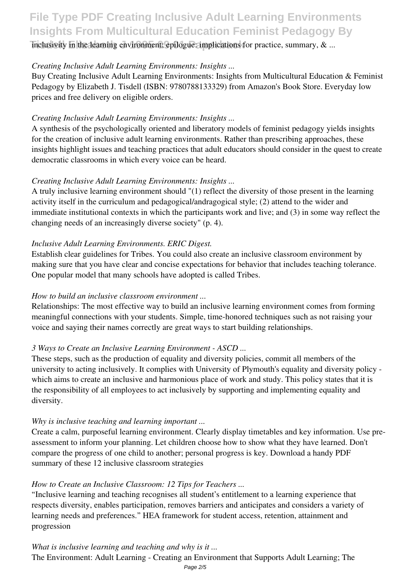# **File Type PDF Creating Inclusive Adult Learning Environments Insights From Multicultural Education Feminist Pedagogy By**

inclusivity in the learning environment; epilogue: implications for practice, summary, & ...

### *Creating Inclusive Adult Learning Environments: Insights ...*

Buy Creating Inclusive Adult Learning Environments: Insights from Multicultural Education & Feminist Pedagogy by Elizabeth J. Tisdell (ISBN: 9780788133329) from Amazon's Book Store. Everyday low prices and free delivery on eligible orders.

# *Creating Inclusive Adult Learning Environments: Insights ...*

A synthesis of the psychologically oriented and liberatory models of feminist pedagogy yields insights for the creation of inclusive adult learning environments. Rather than prescribing approaches, these insights highlight issues and teaching practices that adult educators should consider in the quest to create democratic classrooms in which every voice can be heard.

# *Creating Inclusive Adult Learning Environments: Insights ...*

A truly inclusive learning environment should "(1) reflect the diversity of those present in the learning activity itself in the curriculum and pedagogical/andragogical style; (2) attend to the wider and immediate institutional contexts in which the participants work and live; and (3) in some way reflect the changing needs of an increasingly diverse society" (p. 4).

# *Inclusive Adult Learning Environments. ERIC Digest.*

Establish clear guidelines for Tribes. You could also create an inclusive classroom environment by making sure that you have clear and concise expectations for behavior that includes teaching tolerance. One popular model that many schools have adopted is called Tribes.

### *How to build an inclusive classroom environment ...*

Relationships: The most effective way to build an inclusive learning environment comes from forming meaningful connections with your students. Simple, time-honored techniques such as not raising your voice and saying their names correctly are great ways to start building relationships.

### *3 Ways to Create an Inclusive Learning Environment - ASCD ...*

These steps, such as the production of equality and diversity policies, commit all members of the university to acting inclusively. It complies with University of Plymouth's equality and diversity policy which aims to create an inclusive and harmonious place of work and study. This policy states that it is the responsibility of all employees to act inclusively by supporting and implementing equality and diversity.

### *Why is inclusive teaching and learning important ...*

Create a calm, purposeful learning environment. Clearly display timetables and key information. Use preassessment to inform your planning. Let children choose how to show what they have learned. Don't compare the progress of one child to another; personal progress is key. Download a handy PDF summary of these 12 inclusive classroom strategies

### *How to Create an Inclusive Classroom: 12 Tips for Teachers ...*

"Inclusive learning and teaching recognises all student's entitlement to a learning experience that respects diversity, enables participation, removes barriers and anticipates and considers a variety of learning needs and preferences." HEA framework for student access, retention, attainment and progression

# *What is inclusive learning and teaching and why is it ...*

The Environment: Adult Learning - Creating an Environment that Supports Adult Learning; The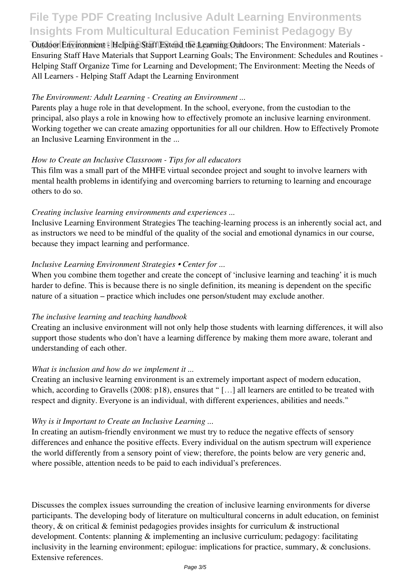# **File Type PDF Creating Inclusive Adult Learning Environments Insights From Multicultural Education Feminist Pedagogy By**

**Outdoor Environment - Helping Staff Extend the Learning Outdoors; The Environment: Materials -**Ensuring Staff Have Materials that Support Learning Goals; The Environment: Schedules and Routines - Helping Staff Organize Time for Learning and Development; The Environment: Meeting the Needs of All Learners - Helping Staff Adapt the Learning Environment

#### *The Environment: Adult Learning - Creating an Environment ...*

Parents play a huge role in that development. In the school, everyone, from the custodian to the principal, also plays a role in knowing how to effectively promote an inclusive learning environment. Working together we can create amazing opportunities for all our children. How to Effectively Promote an Inclusive Learning Environment in the ...

#### *How to Create an Inclusive Classroom - Tips for all educators*

This film was a small part of the MHFE virtual secondee project and sought to involve learners with mental health problems in identifying and overcoming barriers to returning to learning and encourage others to do so.

#### *Creating inclusive learning environments and experiences ...*

Inclusive Learning Environment Strategies The teaching-learning process is an inherently social act, and as instructors we need to be mindful of the quality of the social and emotional dynamics in our course, because they impact learning and performance.

#### *Inclusive Learning Environment Strategies • Center for ...*

When you combine them together and create the concept of 'inclusive learning and teaching' it is much harder to define. This is because there is no single definition, its meaning is dependent on the specific nature of a situation – practice which includes one person/student may exclude another.

#### *The inclusive learning and teaching handbook*

Creating an inclusive environment will not only help those students with learning differences, it will also support those students who don't have a learning difference by making them more aware, tolerant and understanding of each other.

#### *What is inclusion and how do we implement it ...*

Creating an inclusive learning environment is an extremely important aspect of modern education, which, according to Gravells (2008: p18), ensures that "[...] all learners are entitled to be treated with respect and dignity. Everyone is an individual, with different experiences, abilities and needs."

### *Why is it Important to Create an Inclusive Learning ...*

In creating an autism-friendly environment we must try to reduce the negative effects of sensory differences and enhance the positive effects. Every individual on the autism spectrum will experience the world differently from a sensory point of view; therefore, the points below are very generic and, where possible, attention needs to be paid to each individual's preferences.

Discusses the complex issues surrounding the creation of inclusive learning environments for diverse participants. The developing body of literature on multicultural concerns in adult education, on feminist theory, & on critical & feminist pedagogies provides insights for curriculum & instructional development. Contents: planning & implementing an inclusive curriculum; pedagogy: facilitating inclusivity in the learning environment; epilogue: implications for practice, summary, & conclusions. Extensive references.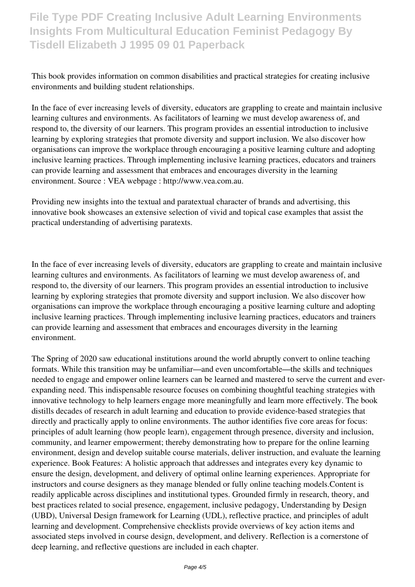**File Type PDF Creating Inclusive Adult Learning Environments Insights From Multicultural Education Feminist Pedagogy By Tisdell Elizabeth J 1995 09 01 Paperback**

This book provides information on common disabilities and practical strategies for creating inclusive environments and building student relationships.

In the face of ever increasing levels of diversity, educators are grappling to create and maintain inclusive learning cultures and environments. As facilitators of learning we must develop awareness of, and respond to, the diversity of our learners. This program provides an essential introduction to inclusive learning by exploring strategies that promote diversity and support inclusion. We also discover how organisations can improve the workplace through encouraging a positive learning culture and adopting inclusive learning practices. Through implementing inclusive learning practices, educators and trainers can provide learning and assessment that embraces and encourages diversity in the learning environment. Source : VEA webpage : http://www.vea.com.au.

Providing new insights into the textual and paratextual character of brands and advertising, this innovative book showcases an extensive selection of vivid and topical case examples that assist the practical understanding of advertising paratexts.

In the face of ever increasing levels of diversity, educators are grappling to create and maintain inclusive learning cultures and environments. As facilitators of learning we must develop awareness of, and respond to, the diversity of our learners. This program provides an essential introduction to inclusive learning by exploring strategies that promote diversity and support inclusion. We also discover how organisations can improve the workplace through encouraging a positive learning culture and adopting inclusive learning practices. Through implementing inclusive learning practices, educators and trainers can provide learning and assessment that embraces and encourages diversity in the learning environment.

The Spring of 2020 saw educational institutions around the world abruptly convert to online teaching formats. While this transition may be unfamiliar—and even uncomfortable—the skills and techniques needed to engage and empower online learners can be learned and mastered to serve the current and everexpanding need. This indispensable resource focuses on combining thoughtful teaching strategies with innovative technology to help learners engage more meaningfully and learn more effectively. The book distills decades of research in adult learning and education to provide evidence-based strategies that directly and practically apply to online environments. The author identifies five core areas for focus: principles of adult learning (how people learn), engagement through presence, diversity and inclusion, community, and learner empowerment; thereby demonstrating how to prepare for the online learning environment, design and develop suitable course materials, deliver instruction, and evaluate the learning experience. Book Features: A holistic approach that addresses and integrates every key dynamic to ensure the design, development, and delivery of optimal online learning experiences. Appropriate for instructors and course designers as they manage blended or fully online teaching models.Content is readily applicable across disciplines and institutional types. Grounded firmly in research, theory, and best practices related to social presence, engagement, inclusive pedagogy, Understanding by Design (UBD), Universal Design framework for Learning (UDL), reflective practice, and principles of adult learning and development. Comprehensive checklists provide overviews of key action items and associated steps involved in course design, development, and delivery. Reflection is a cornerstone of deep learning, and reflective questions are included in each chapter.